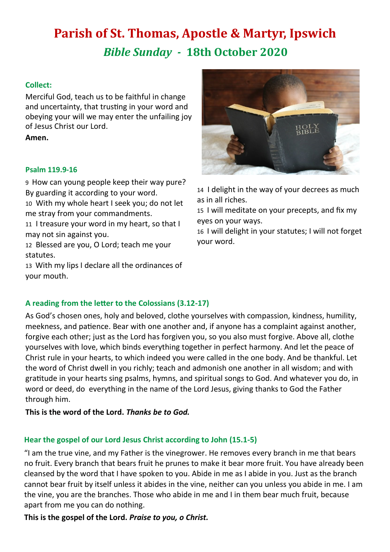# **Parish of St. Thomas, Apostle & Martyr, Ipswich** *Bible Sunday -* **18th October 2020**

## **Collect:**

Merciful God, teach us to be faithful in change and uncertainty, that trusting in your word and obeying your will we may enter the unfailing joy of Jesus Christ our Lord.

**Amen.**

## **Psalm 119.9-16**

9 How can young people keep their way pure? By guarding it according to your word.

10 With my whole heart I seek you; do not let me stray from your commandments.

11 I treasure your word in my heart, so that I may not sin against you.

12 Blessed are you, O Lord; teach me your statutes.

13 With my lips I declare all the ordinances of your mouth.



14 I delight in the way of your decrees as much as in all riches.

15 I will meditate on your precepts, and fix my eyes on your ways.

16 I will delight in your statutes; I will not forget your word.

## **A reading from the letter to the Colossians (3.12-17)**

As God's chosen ones, holy and beloved, clothe yourselves with compassion, kindness, humility, meekness, and patience. Bear with one another and, if anyone has a complaint against another, forgive each other; just as the Lord has forgiven you, so you also must forgive. Above all, clothe yourselves with love, which binds everything together in perfect harmony. And let the peace of Christ rule in your hearts, to which indeed you were called in the one body. And be thankful. Let the word of Christ dwell in you richly; teach and admonish one another in all wisdom; and with gratitude in your hearts sing psalms, hymns, and spiritual songs to God. And whatever you do, in word or deed, do everything in the name of the Lord Jesus, giving thanks to God the Father through him.

**This is the word of the Lord.** *Thanks be to God.*

## **Hear the gospel of our Lord Jesus Christ according to John (15.1-5)**

"I am the true vine, and my Father is the vinegrower. He removes every branch in me that bears no fruit. Every branch that bears fruit he prunes to make it bear more fruit. You have already been cleansed by the word that I have spoken to you. Abide in me as I abide in you. Just as the branch cannot bear fruit by itself unless it abides in the vine, neither can you unless you abide in me. I am the vine, you are the branches. Those who abide in me and I in them bear much fruit, because apart from me you can do nothing.

**This is the gospel of the Lord.** *Praise to you, o Christ.*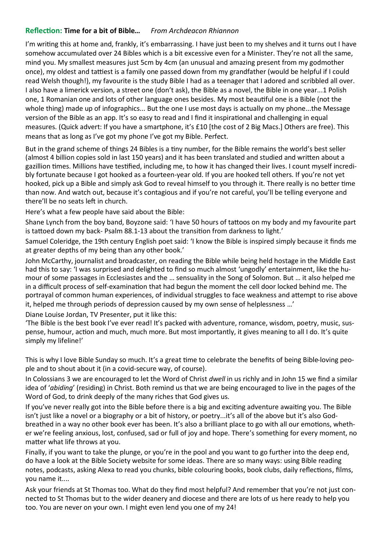## **Reflection: Time for a bit of Bible…** *From Archdeacon Rhiannon*

I'm writing this at home and, frankly, it's embarrassing. I have just been to my shelves and it turns out I have somehow accumulated over 24 Bibles which is a bit excessive even for a Minister. They're not all the same, mind you. My smallest measures just 5cm by 4cm (an unusual and amazing present from my godmother once), my oldest and tattiest is a family one passed down from my grandfather (would be helpful if I could read Welsh though!), my favourite is the study Bible I had as a teenager that I adored and scribbled all over. I also have a limerick version, a street one (don't ask), the Bible as a novel, the Bible in one year...1 Polish one, 1 Romanian one and lots of other language ones besides. My most beautiful one is a Bible (not the whole thing) made up of infographics... But the one I use most days is actually on my phone...the Message version of the Bible as an app. It's so easy to read and I find it inspirational and challenging in equal measures. (Quick advert: If you have a smartphone, it's £10 [the cost of 2 Big Macs.] Others are free). This means that as long as I've got my phone I've got my Bible. Perfect.

But in the grand scheme of things 24 Bibles is a tiny number, for the Bible remains the world's best seller (almost 4 billion copies sold in last 150 years) and it has been translated and studied and written about a gazillion times. Millions have testified, including me, to how it has changed their lives. I count myself incredibly fortunate because I got hooked as a fourteen-year old. If you are hooked tell others. If you're not yet hooked, pick up a Bible and simply ask God to reveal himself to you through it. There really is no better time than now. And watch out, because it's contagious and if you're not careful, you'll be telling everyone and there'll be no seats left in church.

Here's what a few people have said about the Bible:

Shane Lynch from the boy band, Boyzone said: 'I have 50 hours of tattoos on my body and my favourite part is tattoed down my back- Psalm 88.1-13 about the transition from darkness to light.'

Samuel Coleridge, the 19th century English poet said: 'I know the Bible is inspired simply because it finds me at greater depths of my being than any other book.'

John McCarthy, journalist and broadcaster, on reading the Bible while being held hostage in the Middle East had this to say: 'I was surprised and delighted to find so much almost 'ungodly' entertainment, like the humour of some passages in Ecclesiastes and the … sensuality in the Song of Solomon. But … it also helped me in a difficult process of self-examination that had begun the moment the cell door locked behind me. The portrayal of common human experiences, of individual struggles to face weakness and attempt to rise above it, helped me through periods of depression caused by my own sense of helplessness …'

Diane Louise Jordan, TV Presenter, put it like this:

'The Bible is the best book I've ever read! It's packed with adventure, romance, wisdom, poetry, music, suspense, humour, action and much, much more. But most importantly, it gives meaning to all I do. It's quite simply my lifeline!'

This is why I love Bible Sunday so much. It's a great time to celebrate the benefits of being Bible-loving people and to shout about it (in a covid-secure way, of course).

In Colossians 3 we are encouraged to let the Word of Christ *dwell* in us richly and in John 15 we find a similar idea of '*abiding*' (residing) in Christ. Both remind us that we are being encouraged to live in the pages of the Word of God, to drink deeply of the many riches that God gives us.

If you've never really got into the Bible before there is a big and exciting adventure awaiting you. The Bible isn't just like a novel or a biography or a bit of history, or poetry...it's all of the above but it's also Godbreathed in a way no other book ever has been. It's also a brilliant place to go with all our emotions, whether we're feeling anxious, lost, confused, sad or full of joy and hope. There's something for every moment, no matter what life throws at you.

Finally, if you want to take the plunge, or you're in the pool and you want to go further into the deep end, do have a look at the Bible Society website for some ideas. There are so many ways: using Bible reading notes, podcasts, asking Alexa to read you chunks, bible colouring books, book clubs, daily reflections, films, you name it....

Ask your friends at St Thomas too. What do they find most helpful? And remember that you're not just connected to St Thomas but to the wider deanery and diocese and there are lots of us here ready to help you too. You are never on your own. I might even lend you one of my 24!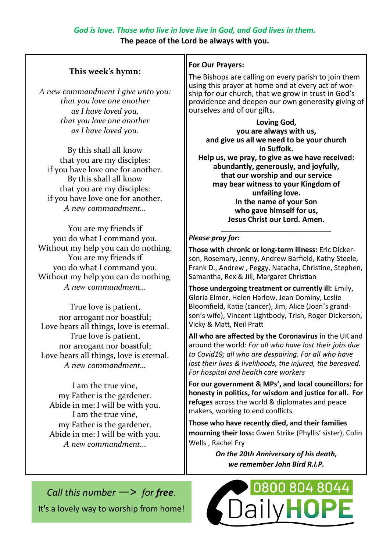**The peace of the Lord be always with you.**

## **This week's hymn:**

*A new commandment I give unto you: that you love one another as I have loved you, that you love one another as I have loved you.*

By this shall all know that you are my disciples: if you have love one for another. By this shall all know that you are my disciples: if you have love one for another. *A new commandment…*

You are my friends if you do what I command you. Without my help you can do nothing. You are my friends if you do what I command you. Without my help you can do nothing. *A new commandment…*

True love is patient, nor arrogant nor boastful; Love bears all things, love is eternal. True love is patient, nor arrogant nor boastful; Love bears all things, love is eternal. *A new commandment…*

I am the true vine, my Father is the gardener. Abide in me: I will be with you. I am the true vine, my Father is the gardener. Abide in me: I will be with you. *A new commandment...*

## **For Our Prayers:**

The Bishops are calling on every parish to join them using this prayer at home and at every act of worship for our church, that we grow in trust in God's providence and deepen our own generosity giving of ourselves and of our gifts.

**Loving God, you are always with us, and give us all we need to be your church in Suffolk. Help us, we pray, to give as we have received: abundantly, generously, and joyfully, that our worship and our service may bear witness to your Kingdom of unfailing love. In the name of your Son who gave himself for us, Jesus Christ our Lord. Amen.**

#### **\_\_\_\_\_\_\_\_\_\_\_\_\_\_\_\_\_\_\_\_\_\_\_\_\_\_\_** *Please pray for:*

**Those with chronic or long-term illness:** Eric Dickerson, Rosemary, Jenny, Andrew Barfield, Kathy Steele, Frank D., Andrew , Peggy, Natacha, Christine, Stephen, Samantha, Rex & Jill, Margaret Christian

**Those undergoing treatment or currently ill:** Emily, Gloria Elmer, Helen Harlow, Jean Dominy, Leslie Bloomfield, Katie (cancer), Jim, Alice (Joan's grandson's wife), Vincent Lightbody, Trish, Roger Dickerson, Vicky & Matt, Neil Pratt

**All who are affected by the Coronavirus** in the UK and around the world: *For all who have lost their jobs due to Covid19; all who are despairing. For all who have lost their lives & livelihoods, the injured, the bereaved. For hospital and health care workers*

**For our government & MPs', and local councillors: for honesty in politics, for wisdom and justice for all. For refuges** across the world & diplomates and peace makers, working to end conflicts

**Those who have recently died, and their families mourning their loss:** Gwen Strike (Phyllis' sister), Colin Wells , Rachel Fry

> *On the 20th Anniversary of his death, we remember John Bird R.I.P.*

*Call this number* —> *for free*. It's a lovely way to worship from home!